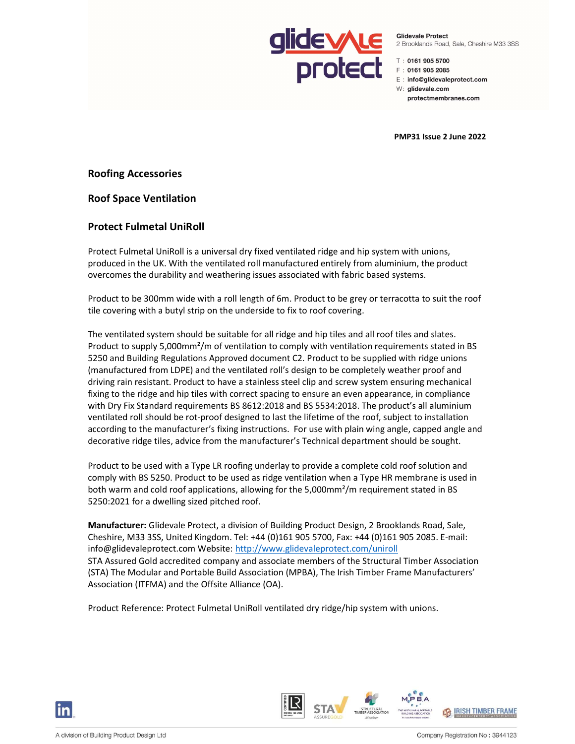

Glidevale Protect 2 Brooklands Road, Sale, Cheshire M33 3SS

↑ 0161 905 5700

F: 0161 905 2085

E: info@glidevaleprotect.com

W: glidevale.com

protectmembranes.com

PMP31 Issue 2 June 2022

Roofing Accessories

Roof Space Ventilation

# Protect Fulmetal UniRoll

Protect Fulmetal UniRoll is a universal dry fixed ventilated ridge and hip system with unions, produced in the UK. With the ventilated roll manufactured entirely from aluminium, the product overcomes the durability and weathering issues associated with fabric based systems.

Product to be 300mm wide with a roll length of 6m. Product to be grey or terracotta to suit the roof tile covering with a butyl strip on the underside to fix to roof covering.

The ventilated system should be suitable for all ridge and hip tiles and all roof tiles and slates. Product to supply 5,000mm²/m of ventilation to comply with ventilation requirements stated in BS 5250 and Building Regulations Approved document C2. Product to be supplied with ridge unions (manufactured from LDPE) and the ventilated roll's design to be completely weather proof and driving rain resistant. Product to have a stainless steel clip and screw system ensuring mechanical fixing to the ridge and hip tiles with correct spacing to ensure an even appearance, in compliance with Dry Fix Standard requirements BS 8612:2018 and BS 5534:2018. The product's all aluminium ventilated roll should be rot-proof designed to last the lifetime of the roof, subject to installation according to the manufacturer's fixing instructions. For use with plain wing angle, capped angle and decorative ridge tiles, advice from the manufacturer's Technical department should be sought.

Product to be used with a Type LR roofing underlay to provide a complete cold roof solution and comply with BS 5250. Product to be used as ridge ventilation when a Type HR membrane is used in both warm and cold roof applications, allowing for the 5,000mm²/m requirement stated in BS 5250:2021 for a dwelling sized pitched roof.

Manufacturer: Glidevale Protect, a division of Building Product Design, 2 Brooklands Road, Sale, Cheshire, M33 3SS, United Kingdom. Tel: +44 (0)161 905 5700, Fax: +44 (0)161 905 2085. E-mail: info@glidevaleprotect.com Website: http://www.glidevaleprotect.com/uniroll STA Assured Gold accredited company and associate members of the Structural Timber Association (STA) The Modular and Portable Build Association (MPBA), The Irish Timber Frame Manufacturers' Association (ITFMA) and the Offsite Alliance (OA).

Product Reference: Protect Fulmetal UniRoll ventilated dry ridge/hip system with unions.